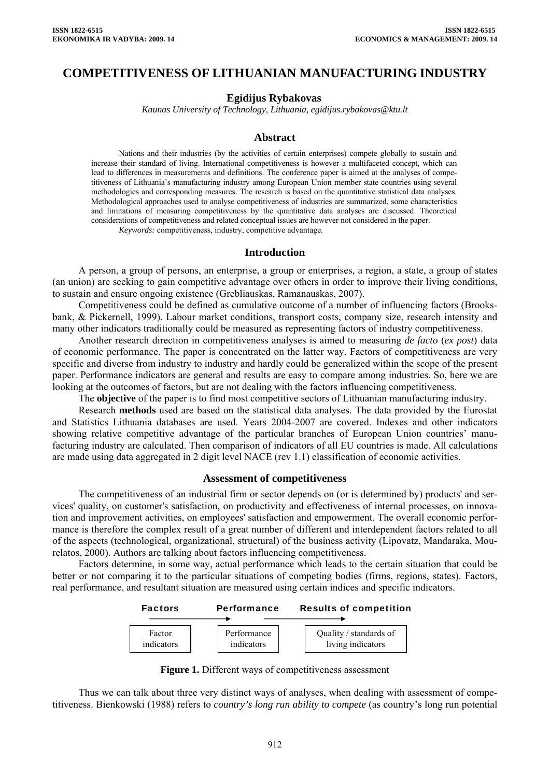# **COMPETITIVENESS OF LITHUANIAN MANUFACTURING INDUSTRY**

#### **Egidijus Rybakovas**

*Kaunas University of Technology, Lithuania, egidijus.rybakovas@ktu.lt* 

#### **Abstract**

Nations and their industries (by the activities of certain enterprises) compete globally to sustain and increase their standard of living. International competitiveness is however a multifaceted concept, which can lead to differences in measurements and definitions. The conference paper is aimed at the analyses of competitiveness of Lithuania's manufacturing industry among European Union member state countries using several methodologies and corresponding measures. The research is based on the quantitative statistical data analyses. Methodological approaches used to analyse competitiveness of industries are summarized, some characteristics and limitations of measuring competitiveness by the quantitative data analyses are discussed. Theoretical considerations of competitiveness and related conceptual issues are however not considered in the paper.

*Keywords:* competitiveness, industry, competitive advantage*.*

#### **Introduction**

A person, a group of persons, an enterprise, a group or enterprises, a region, a state, a group of states (an union) are seeking to gain competitive advantage over others in order to improve their living conditions, to sustain and ensure ongoing existence (Grebliauskas, Ramanauskas, 2007).

Competitiveness could be defined as cumulative outcome of a number of influencing factors (Brooksbank, & Pickernell, 1999). Labour market conditions, transport costs, company size, research intensity and many other indicators traditionally could be measured as representing factors of industry competitiveness.

Another research direction in competitiveness analyses is aimed to measuring *de facto* (*ex post*) data of economic performance. The paper is concentrated on the latter way. Factors of competitiveness are very specific and diverse from industry to industry and hardly could be generalized within the scope of the present paper. Performance indicators are general and results are easy to compare among industries. So, here we are looking at the outcomes of factors, but are not dealing with the factors influencing competitiveness.

The **objective** of the paper is to find most competitive sectors of Lithuanian manufacturing industry.

Research **methods** used are based on the statistical data analyses. The data provided by the Eurostat and Statistics Lithuania databases are used. Years 2004-2007 are covered. Indexes and other indicators showing relative competitive advantage of the particular branches of European Union countries' manufacturing industry are calculated. Then comparison of indicators of all EU countries is made. All calculations are made using data aggregated in 2 digit level NACE (rev 1.1) classification of economic activities.

#### **Assessment of competitiveness**

The competitiveness of an industrial firm or sector depends on (or is determined by) products' and services' quality, on customer's satisfaction, on productivity and effectiveness of internal processes, on innovation and improvement activities, on employees' satisfaction and empowerment. The overall economic performance is therefore the complex result of a great number of different and interdependent factors related to all of the aspects (technological, organizational, structural) of the business activity (Lipovatz, Mandaraka, Mourelatos, 2000). Authors are talking about factors influencing competitiveness.

Factors determine, in some way, actual performance which leads to the certain situation that could be better or not comparing it to the particular situations of competing bodies (firms, regions, states). Factors, real performance, and resultant situation are measured using certain indices and specific indicators.



Figure 1. Different ways of competitiveness assessment

Thus we can talk about three very distinct ways of analyses, when dealing with assessment of competitiveness. Bienkowski (1988) refers to *country's long run ability to compete* (as country's long run potential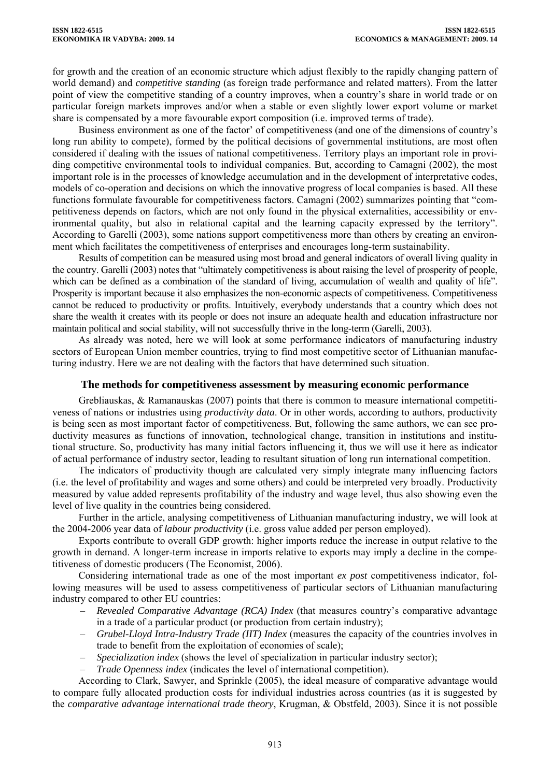for growth and the creation of an economic structure which adjust flexibly to the rapidly changing pattern of world demand) and *competitive standing* (as foreign trade performance and related matters). From the latter point of view the competitive standing of a country improves, when a country's share in world trade or on particular foreign markets improves and/or when a stable or even slightly lower export volume or market share is compensated by a more favourable export composition (i.e. improved terms of trade).

Business environment as one of the factor' of competitiveness (and one of the dimensions of country's long run ability to compete), formed by the political decisions of governmental institutions, are most often considered if dealing with the issues of national competitiveness. Territory plays an important role in providing competitive environmental tools to individual companies. But, according to Camagni (2002), the most important role is in the processes of knowledge accumulation and in the development of interpretative codes, models of co-operation and decisions on which the innovative progress of local companies is based. All these functions formulate favourable for competitiveness factors. Camagni (2002) summarizes pointing that "competitiveness depends on factors, which are not only found in the physical externalities, accessibility or environmental quality, but also in relational capital and the learning capacity expressed by the territory". According to Garelli (2003), some nations support competitiveness more than others by creating an environment which facilitates the competitiveness of enterprises and encourages long-term sustainability.

Results of competition can be measured using most broad and general indicators of overall living quality in the country. Garelli (2003) notes that "ultimately competitiveness is about raising the level of prosperity of people, which can be defined as a combination of the standard of living, accumulation of wealth and quality of life". Prosperity is important because it also emphasizes the non-economic aspects of competitiveness. Competitiveness cannot be reduced to productivity or profits. Intuitively, everybody understands that a country which does not share the wealth it creates with its people or does not insure an adequate health and education infrastructure nor maintain political and social stability, will not successfully thrive in the long-term (Garelli, 2003).

As already was noted, here we will look at some performance indicators of manufacturing industry sectors of European Union member countries, trying to find most competitive sector of Lithuanian manufacturing industry. Here we are not dealing with the factors that have determined such situation.

## **The methods for competitiveness assessment by measuring economic performance**

Grebliauskas, & Ramanauskas (2007) points that there is common to measure international competitiveness of nations or industries using *productivity data*. Or in other words, according to authors, productivity is being seen as most important factor of competitiveness. But, following the same authors, we can see productivity measures as functions of innovation, technological change, transition in institutions and institutional structure. So, productivity has many initial factors influencing it, thus we will use it here as indicator of actual performance of industry sector, leading to resultant situation of long run international competition.

The indicators of productivity though are calculated very simply integrate many influencing factors (i.e. the level of profitability and wages and some others) and could be interpreted very broadly. Productivity measured by value added represents profitability of the industry and wage level, thus also showing even the level of live quality in the countries being considered.

Further in the article, analysing competitiveness of Lithuanian manufacturing industry, we will look at the 2004-2006 year data of *labour productivity* (i.e. gross value added per person employed).

Exports contribute to overall GDP growth: higher imports reduce the increase in output relative to the growth in demand. A longer-term increase in imports relative to exports may imply a decline in the competitiveness of domestic producers (The Economist, 2006).

Considering international trade as one of the most important *ex post* competitiveness indicator, following measures will be used to assess competitiveness of particular sectors of Lithuanian manufacturing industry compared to other EU countries:

- *Revealed Comparative Advantage (RCA) Index* (that measures country's comparative advantage in a trade of a particular product (or production from certain industry);
- *Grubel-Lloyd Intra-Industry Trade (IIT) Index* (measures the capacity of the countries involves in trade to benefit from the exploitation of economies of scale);
- *Specialization index* (shows the level of specialization in particular industry sector);
- *Trade Openness index* (indicates the level of international competition).

According to Clark, Sawyer, and Sprinkle (2005), the ideal measure of comparative advantage would to compare fully allocated production costs for individual industries across countries (as it is suggested by the *comparative advantage international trade theory*, Krugman, & Obstfeld, 2003). Since it is not possible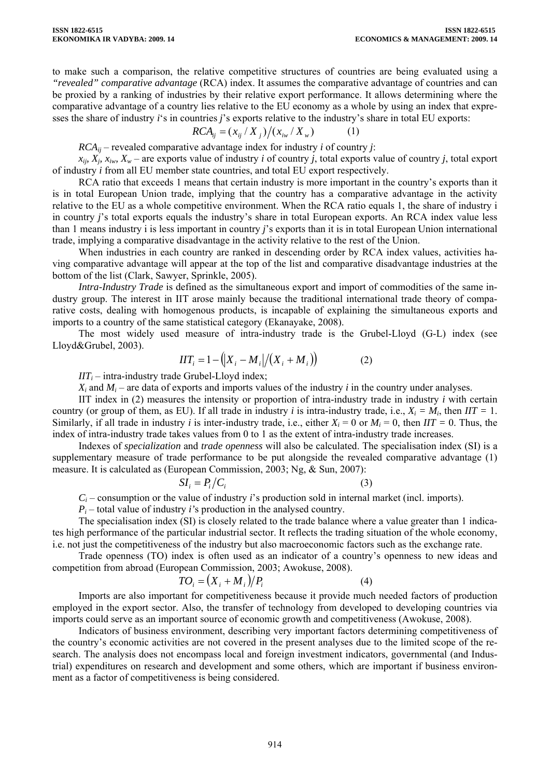to make such a comparison, the relative competitive structures of countries are being evaluated using a *"revealed" comparative advantage* (RCA) index. It assumes the comparative advantage of countries and can be proxied by a ranking of industries by their relative export performance. It allows determining where the comparative advantage of a country lies relative to the EU economy as a whole by using an index that expresses the share of industry *i*'s in countries *j*'s exports relative to the industry's share in total EU exports:

$$
RCA_{ij} = (x_{ij} / X_j)/(x_{iw} / X_w)
$$
 (1)

 $RCA_{ii}$  – revealed comparative advantage index for industry *i* of country *j*:

 $x_{ij}$ ,  $X_i$ ,  $x_{iw}$ ,  $X_w$  – are exports value of industry *i* of country *j*, total exports value of country *j*, total export of industry *i* from all EU member state countries, and total EU export respectively.

RCA ratio that exceeds 1 means that certain industry is more important in the country's exports than it is in total European Union trade, implying that the country has a comparative advantage in the activity relative to the EU as a whole competitive environment. When the RCA ratio equals 1, the share of industry i in country *j*'s total exports equals the industry's share in total European exports. An RCA index value less than 1 means industry i is less important in country *j*'s exports than it is in total European Union international trade, implying a comparative disadvantage in the activity relative to the rest of the Union.

When industries in each country are ranked in descending order by RCA index values, activities having comparative advantage will appear at the top of the list and comparative disadvantage industries at the bottom of the list (Clark, Sawyer, Sprinkle, 2005).

*Intra-Industry Trade* is defined as the simultaneous export and import of commodities of the same industry group. The interest in IIT arose mainly because the traditional international trade theory of comparative costs, dealing with homogenous products, is incapable of explaining the simultaneous exports and imports to a country of the same statistical category (Ekanayake, 2008).

The most widely used measure of intra-industry trade is the Grubel-Lloyd (G-L) index (see Lloyd&Grubel, 2003).

$$
IIT_i = 1 - (|X_i - M_i|/(X_i + M_i))
$$
 (2)

 $IIT_i$  – intra-industry trade Grubel-Lloyd index;

 $X_i$  and  $M_i$  – are data of exports and imports values of the industry *i* in the country under analyses.

IIT index in (2) measures the intensity or proportion of intra-industry trade in industry *i* with certain country (or group of them, as EU). If all trade in industry *i* is intra-industry trade, i.e.,  $X_i = M_i$ , then  $IT = 1$ . Similarly, if all trade in industry *i* is inter-industry trade, i.e., either  $X_i = 0$  or  $M_i = 0$ , then  $IT = 0$ . Thus, the index of intra-industry trade takes values from 0 to 1 as the extent of intra-industry trade increases.

Indexes of *specialization* and *trade openness* will also be calculated. The specialisation index (SI) is a supplementary measure of trade performance to be put alongside the revealed comparative advantage (1) measure. It is calculated as (European Commission, 2003; Ng, & Sun, 2007):

$$
SI_i = P_i/C_i \tag{3}
$$

 $C_i$  – consumption or the value of industry *i*'s production sold in internal market (incl. imports).

 $P_i$  – total value of industry *i*'s production in the analysed country.

The specialisation index (SI) is closely related to the trade balance where a value greater than 1 indicates high performance of the particular industrial sector. It reflects the trading situation of the whole economy, i.e. not just the competitiveness of the industry but also macroeconomic factors such as the exchange rate.

Trade openness (TO) index is often used as an indicator of a country's openness to new ideas and competition from abroad (European Commission, 2003; Awokuse, 2008).

$$
TO_i = (X_i + M_i)/P_i \tag{4}
$$

Imports are also important for competitiveness because it provide much needed factors of production employed in the export sector. Also, the transfer of technology from developed to developing countries via imports could serve as an important source of economic growth and competitiveness (Awokuse, 2008).

Indicators of business environment, describing very important factors determining competitiveness of the country's economic activities are not covered in the present analyses due to the limited scope of the research. The analysis does not encompass local and foreign investment indicators, governmental (and Industrial) expenditures on research and development and some others, which are important if business environment as a factor of competitiveness is being considered.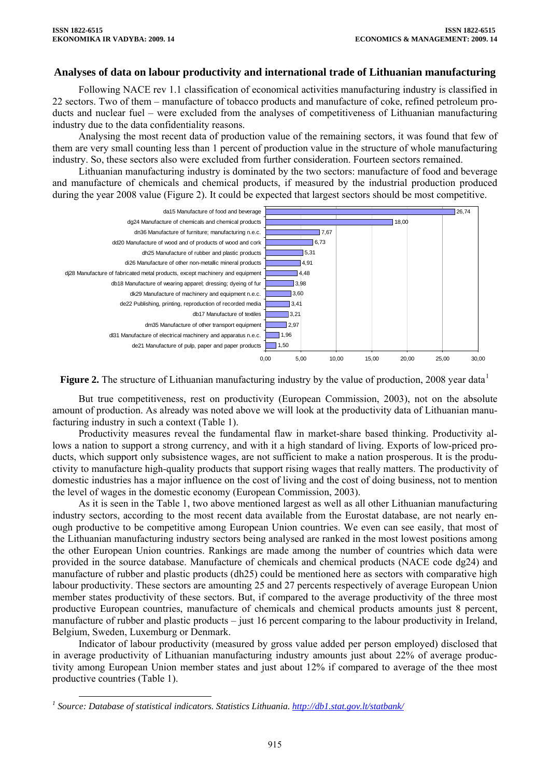### **Analyses of data on labour productivity and international trade of Lithuanian manufacturing**

Following NACE rev 1.1 classification of economical activities manufacturing industry is classified in 22 sectors. Two of them – manufacture of tobacco products and manufacture of coke, refined petroleum products and nuclear fuel – were excluded from the analyses of competitiveness of Lithuanian manufacturing industry due to the data confidentiality reasons.

Analysing the most recent data of production value of the remaining sectors, it was found that few of them are very small counting less than 1 percent of production value in the structure of whole manufacturing industry. So, these sectors also were excluded from further consideration. Fourteen sectors remained.

Lithuanian manufacturing industry is dominated by the two sectors: manufacture of food and beverage and manufacture of chemicals and chemical products, if measured by the industrial production produced during the year 2008 value (Figure 2). It could be expected that largest sectors should be most competitive.





But true competitiveness, rest on productivity (European Commission, 2003), not on the absolute amount of production. As already was noted above we will look at the productivity data of Lithuanian manufacturing industry in such a context (Table 1).

Productivity measures reveal the fundamental flaw in market-share based thinking. Productivity allows a nation to support a strong currency, and with it a high standard of living. Exports of low-priced products, which support only subsistence wages, are not sufficient to make a nation prosperous. It is the productivity to manufacture high-quality products that support rising wages that really matters. The productivity of domestic industries has a major influence on the cost of living and the cost of doing business, not to mention the level of wages in the domestic economy (European Commission, 2003).

As it is seen in the Table 1, two above mentioned largest as well as all other Lithuanian manufacturing industry sectors, according to the most recent data available from the Eurostat database, are not nearly enough productive to be competitive among European Union countries. We even can see easily, that most of the Lithuanian manufacturing industry sectors being analysed are ranked in the most lowest positions among the other European Union countries. Rankings are made among the number of countries which data were provided in the source database. Manufacture of chemicals and chemical products (NACE code dg24) and manufacture of rubber and plastic products (dh25) could be mentioned here as sectors with comparative high labour productivity. These sectors are amounting 25 and 27 percents respectively of average European Union member states productivity of these sectors. But, if compared to the average productivity of the three most productive European countries, manufacture of chemicals and chemical products amounts just 8 percent, manufacture of rubber and plastic products – just 16 percent comparing to the labour productivity in Ireland, Belgium, Sweden, Luxemburg or Denmark.

Indicator of labour productivity (measured by gross value added per person employed) disclosed that in average productivity of Lithuanian manufacturing industry amounts just about 22% of average productivity among European Union member states and just about 12% if compared to average of the thee most productive countries (Table 1).

<span id="page-3-0"></span>*<sup>1</sup>*<br>
<sup>1</sup> Source: Database of statistical indicators. Statistics Lithuania. <u><http://db1.stat.gov.lt/statbank/></u>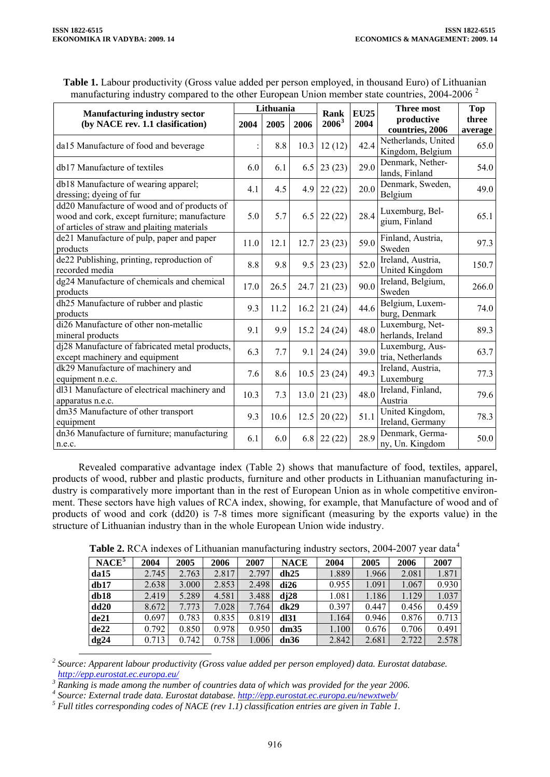| <b>Table 1.</b> Labour productivity (Gross value added per person employed, in thousand Euro) of Lithuanian |  |
|-------------------------------------------------------------------------------------------------------------|--|
| manufacturing industry compared to the other European Union member state countries, 2004-2006 <sup>2</sup>  |  |

| <b>Manufacturing industry sector</b><br>(by NACE rev. 1.1 clasification)<br>2004                                                           |      | Lithuania |      |                  | <b>EU25</b> | <b>Three most</b>                       | <b>Top</b>       |
|--------------------------------------------------------------------------------------------------------------------------------------------|------|-----------|------|------------------|-------------|-----------------------------------------|------------------|
|                                                                                                                                            |      | 2005      | 2006 | Rank<br>$2006^3$ | 2004        | productive<br>countries, 2006           | three<br>average |
| da15 Manufacture of food and beverage                                                                                                      |      | 8.8       | 10.3 | 12(12)           | 42.4        | Netherlands, United<br>Kingdom, Belgium | 65.0             |
| db17 Manufacture of textiles                                                                                                               | 6.0  | 6.1       | 6.5  | 23(23)           | 29.0        | Denmark, Nether-<br>lands, Finland      | 54.0             |
| db18 Manufacture of wearing apparel;<br>dressing; dyeing of fur                                                                            | 4.1  | 4.5       | 4.9  | 22(22)           | 20.0        | Denmark, Sweden,<br>Belgium             | 49.0             |
| dd20 Manufacture of wood and of products of<br>wood and cork, except furniture; manufacture<br>of articles of straw and plaiting materials | 5.0  | 5.7       | 6.5  | 22(22)           | 28.4        | Luxemburg, Bel-<br>gium, Finland        | 65.1             |
| de21 Manufacture of pulp, paper and paper<br>products                                                                                      | 11.0 | 12.1      | 12.7 | 23(23)           | 59.0        | Finland, Austria,<br>Sweden             | 97.3             |
| de22 Publishing, printing, reproduction of<br>recorded media                                                                               | 8.8  | 9.8       | 9.5  | 23(23)           | 52.0        | Ireland, Austria,<br>United Kingdom     | 150.7            |
| dg24 Manufacture of chemicals and chemical<br>products                                                                                     | 17.0 | 26.5      | 24.7 | 21(23)           | 90.0        | Ireland, Belgium,<br>Sweden             | 266.0            |
| dh25 Manufacture of rubber and plastic<br>products                                                                                         | 9.3  | 11.2      | 16.2 | 21(24)           | 44.6        | Belgium, Luxem-<br>burg, Denmark        | 74.0             |
| di26 Manufacture of other non-metallic<br>mineral products                                                                                 | 9.1  | 9.9       | 15.2 | 24(24)           | 48.0        | Luxemburg, Net-<br>herlands, Ireland    | 89.3             |
| dj28 Manufacture of fabricated metal products,<br>except machinery and equipment                                                           | 6.3  | 7.7       | 9.1  | 24(24)           | 39.0        | Luxemburg, Aus-<br>tria, Netherlands    | 63.7             |
| dk29 Manufacture of machinery and<br>equipment n.e.c.                                                                                      | 7.6  | 8.6       | 10.5 | 23(24)           | 49.3        | Ireland, Austria,<br>Luxemburg          | 77.3             |
| dl31 Manufacture of electrical machinery and<br>apparatus n.e.c.                                                                           | 10.3 | 7.3       | 13.0 | 21(23)           | 48.0        | Ireland, Finland,<br>Austria            | 79.6             |
| dm35 Manufacture of other transport<br>equipment                                                                                           | 9.3  | 10.6      | 12.5 | 20(22)           | 51.1        | United Kingdom,<br>Ireland, Germany     | 78.3             |
| dn36 Manufacture of furniture; manufacturing<br>n.e.c.                                                                                     | 6.1  | 6.0       | 6.8  | 22(22)           | 28.9        | Denmark, Germa-<br>ny, Un. Kingdom      | 50.0             |

Revealed comparative advantage index (Table 2) shows that manufacture of food, textiles, apparel, products of wood, rubber and plastic products, furniture and other products in Lithuanian manufacturing industry is comparatively more important than in the rest of European Union as in whole competitive environment. These sectors have high values of RCA index, showing, for example, that Manufacture of wood and of products of wood and cork (dd20) is 7-8 times more significant (measuring by the exports value) in the structure of Lithuanian industry than in the whole European Union wide industry.

|  | Table 2. RCA indexes of Lithuanian manufacturing industry sectors, 2004-2007 year data <sup>4</sup> |  |  |
|--|-----------------------------------------------------------------------------------------------------|--|--|
|  |                                                                                                     |  |  |

| NACE <sup>5</sup> | 2004  | 2005   | 2006  | 2007  | <b>NACE</b> | 2004  | 2005  | 2006  | 2007  |
|-------------------|-------|--------|-------|-------|-------------|-------|-------|-------|-------|
| da15              | 2.745 | 2.763  | 2.817 | 2.797 | dh25        | 1.889 | 1.966 | 2.081 | 1.871 |
| db17              | 2.638 | 3.000  | 2.853 | 2.498 | di26        | 0.955 | 1.091 | 1.067 | 0.930 |
| db18              | 2.419 | 5.289  | 4.581 | 3.488 | di28        | 1.081 | 1.186 | 1.129 | 1.037 |
| dd <sub>20</sub>  | 8.672 | 7.773. | 7.028 | 7.764 | dk29        | 0.397 | 0.447 | 0.456 | 0.459 |
| de21              | 0.697 | 0.783  | 0.835 | 0.819 | dl31        | 1.164 | 0.946 | 0.876 | 0.713 |
| de22              | 0.792 | 0.850  | 0.978 | 0.950 | dm35        | 1.100 | 0.676 | 0.706 | 0.491 |
| dg24              | 0.713 | 0.742  | 0.758 | 1.006 | dn36        | 2.842 | 2.681 | 2.722 | 2.578 |

*<sup>2</sup> Source: Apparent labour productivity (Gross value added per person employed) data. Eurostat database.*

<span id="page-4-1"></span><span id="page-4-0"></span>*<http://epp.eurostat.ec.europa.eu/>3 Ranking is made among the number of countries data of which was provided for the year 2006.* 

<span id="page-4-2"></span>*4 Source: External trade data. Eurostat database.<http://epp.eurostat.ec.europa.eu/newxtweb/>5*

<span id="page-4-3"></span> $<sup>5</sup>$  Full titles corresponding codes of NACE (rev 1.1) classification entries are given in Table 1.</sup>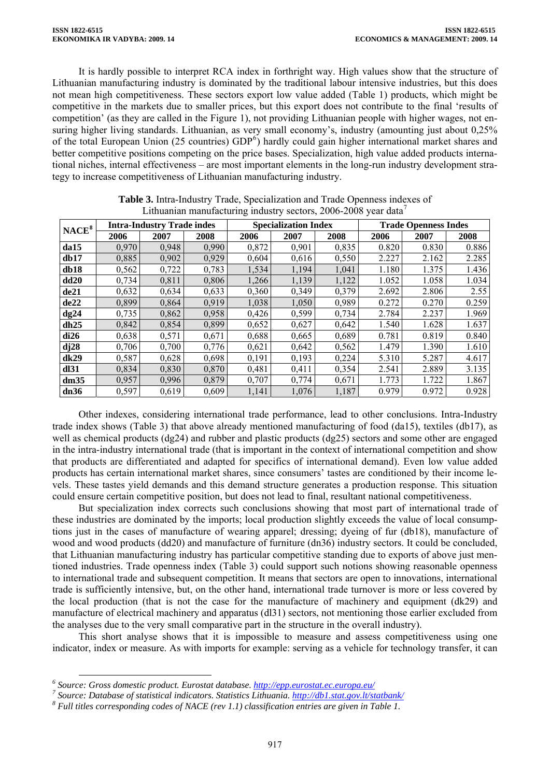It is hardly possible to interpret RCA index in forthright way. High values show that the structure of Lithuanian manufacturing industry is dominated by the traditional labour intensive industries, but this does not mean high competitiveness. These sectors export low value added (Table 1) products, which might be competitive in the markets due to smaller prices, but this export does not contribute to the final 'results of competition' (as they are called in the Figure 1), not providing Lithuanian people with higher wages, not ensuring higher living standards. Lithuanian, as very small economy's, industry (amounting just about 0,25%) of the total European Union (25 countries)  $GDP<sup>6</sup>$  $GDP<sup>6</sup>$  $GDP<sup>6</sup>$ ) hardly could gain higher international market shares and better competitive positions competing on the price bases. Specialization, high value added products international niches, internal effectiveness – are most important elements in the long-run industry development strategy to increase competitiveness of Lithuanian manufacturing industry.

|                   |       | <b>Intra-Industry Trade indes</b> |       |       | <b>Specialization Index</b> |       | <b>Trade Openness Indes</b> |       |       |
|-------------------|-------|-----------------------------------|-------|-------|-----------------------------|-------|-----------------------------|-------|-------|
| NACE <sup>8</sup> | 2006  | 2007                              | 2008  | 2006  | 2007                        | 2008  | 2006                        | 2007  | 2008  |
| da15              | 0,970 | 0,948                             | 0,990 | 0,872 | 0,901                       | 0,835 | 0.820                       | 0.830 | 0.886 |
| db17              | 0,885 | 0,902                             | 0,929 | 0,604 | 0,616                       | 0,550 | 2.227                       | 2.162 | 2.285 |
| db18              | 0,562 | 0,722                             | 0,783 | 1,534 | 1,194                       | 1,041 | 1.180                       | 1.375 | 1.436 |
| dd20              | 0,734 | 0,811                             | 0,806 | 1,266 | 1,139                       | 1,122 | 1.052                       | 1.058 | 1.034 |
| de21              | 0,632 | 0,634                             | 0,633 | 0,360 | 0,349                       | 0,379 | 2.692                       | 2.806 | 2.55  |
| de22              | 0,899 | 0,864                             | 0,919 | 1,038 | 1,050                       | 0,989 | 0.272                       | 0.270 | 0.259 |
| dg24              | 0,735 | 0,862                             | 0,958 | 0,426 | 0,599                       | 0,734 | 2.784                       | 2.237 | 1.969 |
| dh25              | 0,842 | 0,854                             | 0,899 | 0,652 | 0,627                       | 0,642 | 1.540                       | 1.628 | 1.637 |
| di26              | 0,638 | 0,571                             | 0,671 | 0,688 | 0,665                       | 0,689 | 0.781                       | 0.819 | 0.840 |
| $d$ j $28$        | 0,706 | 0,700                             | 0,776 | 0,621 | 0,642                       | 0,562 | 1.479                       | 1.390 | 1.610 |
| dk29              | 0,587 | 0,628                             | 0,698 | 0,191 | 0,193                       | 0,224 | 5.310                       | 5.287 | 4.617 |
| dl31              | 0,834 | 0,830                             | 0,870 | 0,481 | 0.411                       | 0,354 | 2.541                       | 2.889 | 3.135 |
| dm35              | 0,957 | 0,996                             | 0,879 | 0,707 | 0,774                       | 0,671 | 1.773                       | 1.722 | 1.867 |
| dn36              | 0,597 | 0,619                             | 0,609 | 1,141 | 1,076                       | 1,187 | 0.979                       | 0.972 | 0.928 |

**Table 3.** Intra-Industry Trade, Specialization and Trade Openness indexes of Lithuanian manufacturing industry sectors,  $2006-2008$  year data<sup>[7](#page-5-1)</sup>

Other indexes, considering international trade performance, lead to other conclusions. Intra-Industry trade index shows (Table 3) that above already mentioned manufacturing of food (da15), textiles (db17), as well as chemical products (dg24) and rubber and plastic products (dg25) sectors and some other are engaged in the intra-industry international trade (that is important in the context of international competition and show that products are differentiated and adapted for specifics of international demand). Even low value added products has certain international market shares, since consumers' tastes are conditioned by their income levels. These tastes yield demands and this demand structure generates a production response. This situation could ensure certain competitive position, but does not lead to final, resultant national competitiveness.

But specialization index corrects such conclusions showing that most part of international trade of these industries are dominated by the imports; local production slightly exceeds the value of local consumptions just in the cases of manufacture of wearing apparel; dressing; dyeing of fur (db18), manufacture of wood and wood products (dd20) and manufacture of furniture (dn36) industry sectors. It could be concluded, that Lithuanian manufacturing industry has particular competitive standing due to exports of above just mentioned industries. Trade openness index (Table 3) could support such notions showing reasonable openness to international trade and subsequent competition. It means that sectors are open to innovations, international trade is sufficiently intensive, but, on the other hand, international trade turnover is more or less covered by the local production (that is not the case for the manufacture of machinery and equipment (dk29) and manufacture of electrical machinery and apparatus (dl31) sectors, not mentioning those earlier excluded from the analyses due to the very small comparative part in the structure in the overall industry).

This short analyse shows that it is impossible to measure and assess competitiveness using one indicator, index or measure. As with imports for example: serving as a vehicle for technology transfer, it can

*<sup>6</sup> Source: Gross domestic product. Eurostat database. <http://epp.eurostat.ec.europa.eu/> <sup>7</sup>*

<span id="page-5-1"></span><span id="page-5-0"></span>*Source: Database of statistical indicators. Statistics Lithuania. <http://db1.stat.gov.lt/statbank/> 8*

<span id="page-5-2"></span>*Full titles corresponding codes of NACE (rev 1.1) classification entries are given in Table 1.*